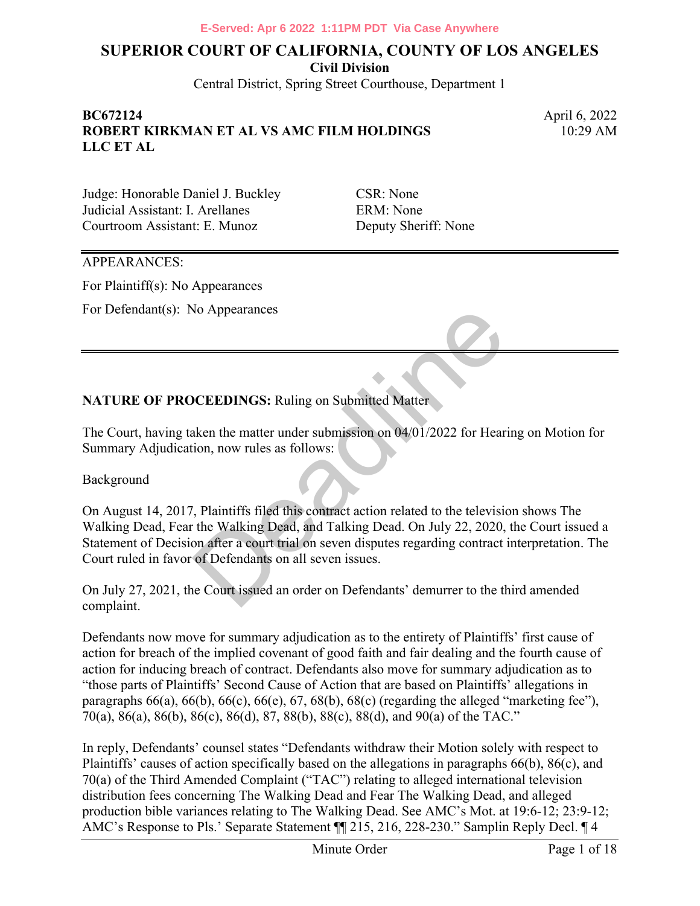**Civil Division**

Central District, Spring Street Courthouse, Department 1

#### **BC672124** April 6, 2022 **ROBERT KIRKMAN ET AL VS AMC FILM HOLDINGS LLC ET AL**

10:29 AM

Judge: Honorable Daniel J. Buckley CSR: None Judicial Assistant: I. Arellanes ERM: None Courtroom Assistant: E. Munoz Deputy Sheriff: None

#### APPEARANCES:

For Plaintiff(s): No Appearances

For Defendant(s): No Appearances

#### **NATURE OF PROCEEDINGS: Ruling on Submitted Matter**

The Court, having taken the matter under submission on 04/01/2022 for Hearing on Motion for Summary Adjudication, now rules as follows:

Background

On August 14, 2017, Plaintiffs filed this contract action related to the television shows The Walking Dead, Fear the Walking Dead, and Talking Dead. On July 22, 2020, the Court issued a Statement of Decision after a court trial on seven disputes regarding contract interpretation. The Court ruled in favor of Defendants on all seven issues. No Appearances<br>
Solometrical Matter<br>
Solometrical Matter<br>
Solometrical Matter<br>
Solometrical Matter<br>
Solometrical Matter<br>
1. Plaintiffs filed this contract action related to the televisit<br>
1. Plaintiffs filed this contract

On July 27, 2021, the Court issued an order on Defendants' demurrer to the third amended complaint.

Defendants now move for summary adjudication as to the entirety of Plaintiffs' first cause of action for breach of the implied covenant of good faith and fair dealing and the fourth cause of action for inducing breach of contract. Defendants also move for summary adjudication as to "those parts of Plaintiffs' Second Cause of Action that are based on Plaintiffs' allegations in paragraphs  $66(a)$ ,  $66(b)$ ,  $66(c)$ ,  $66(e)$ ,  $67$ ,  $68(b)$ ,  $68(c)$  (regarding the alleged "marketing fee"), 70(a), 86(a), 86(b), 86(c), 86(d), 87, 88(b), 88(c), 88(d), and 90(a) of the TAC."

In reply, Defendants' counsel states "Defendants withdraw their Motion solely with respect to Plaintiffs' causes of action specifically based on the allegations in paragraphs 66(b), 86(c), and 70(a) of the Third Amended Complaint ("TAC") relating to alleged international television distribution fees concerning The Walking Dead and Fear The Walking Dead, and alleged production bible variances relating to The Walking Dead. See AMC's Mot. at 19:6-12; 23:9-12; AMC's Response to Pls.' Separate Statement ¶¶ 215, 216, 228-230." Samplin Reply Decl. ¶ 4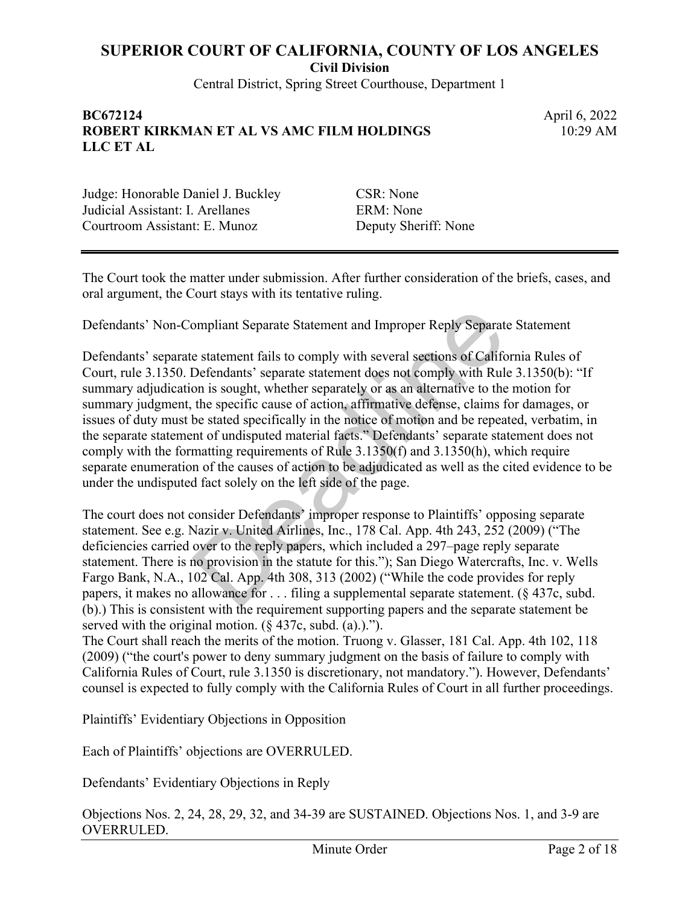**Civil Division**

Central District, Spring Street Courthouse, Department 1

#### **BC672124** April 6, 2022 **ROBERT KIRKMAN ET AL VS AMC FILM HOLDINGS LLC ET AL**

10:29 AM

Judge: Honorable Daniel J. Buckley CSR: None Judicial Assistant: I. Arellanes ERM: None Courtroom Assistant: E. Munoz Deputy Sheriff: None

The Court took the matter under submission. After further consideration of the briefs, cases, and oral argument, the Court stays with its tentative ruling.

Defendants' Non-Compliant Separate Statement and Improper Reply Separate Statement

Defendants' separate statement fails to comply with several sections of California Rules of Court, rule 3.1350. Defendants' separate statement does not comply with Rule 3.1350(b): "If summary adjudication is sought, whether separately or as an alternative to the motion for summary judgment, the specific cause of action, affirmative defense, claims for damages, or issues of duty must be stated specifically in the notice of motion and be repeated, verbatim, in the separate statement of undisputed material facts." Defendants' separate statement does not comply with the formatting requirements of Rule 3.1350(f) and 3.1350(h), which require separate enumeration of the causes of action to be adjudicated as well as the cited evidence to be under the undisputed fact solely on the left side of the page. ompliant Separate Statement and Improper Reply Separate<br>
e statement fails to comply with several sections of Califc<br>
Defendants' separate statement does not comply with Rulon<br>
on is sought, whether separately or as an alt

The court does not consider Defendants' improper response to Plaintiffs' opposing separate statement. See e.g. Nazir v. United Airlines, Inc., 178 Cal. App. 4th 243, 252 (2009) ("The deficiencies carried over to the reply papers, which included a 297–page reply separate statement. There is no provision in the statute for this."); San Diego Watercrafts, Inc. v. Wells Fargo Bank, N.A., 102 Cal. App. 4th 308, 313 (2002) ("While the code provides for reply papers, it makes no allowance for . . . filing a supplemental separate statement. (§ 437c, subd. (b).) This is consistent with the requirement supporting papers and the separate statement be served with the original motion.  $(\S 437c, \text{subd.} (a).)^{\prime\prime}$ .

The Court shall reach the merits of the motion. Truong v. Glasser, 181 Cal. App. 4th 102, 118 (2009) ("the court's power to deny summary judgment on the basis of failure to comply with California Rules of Court, rule 3.1350 is discretionary, not mandatory."). However, Defendants' counsel is expected to fully comply with the California Rules of Court in all further proceedings.

Plaintiffs' Evidentiary Objections in Opposition

Each of Plaintiffs' objections are OVERRULED.

Defendants' Evidentiary Objections in Reply

Objections Nos. 2, 24, 28, 29, 32, and 34-39 are SUSTAINED. Objections Nos. 1, and 3-9 are OVERRULED.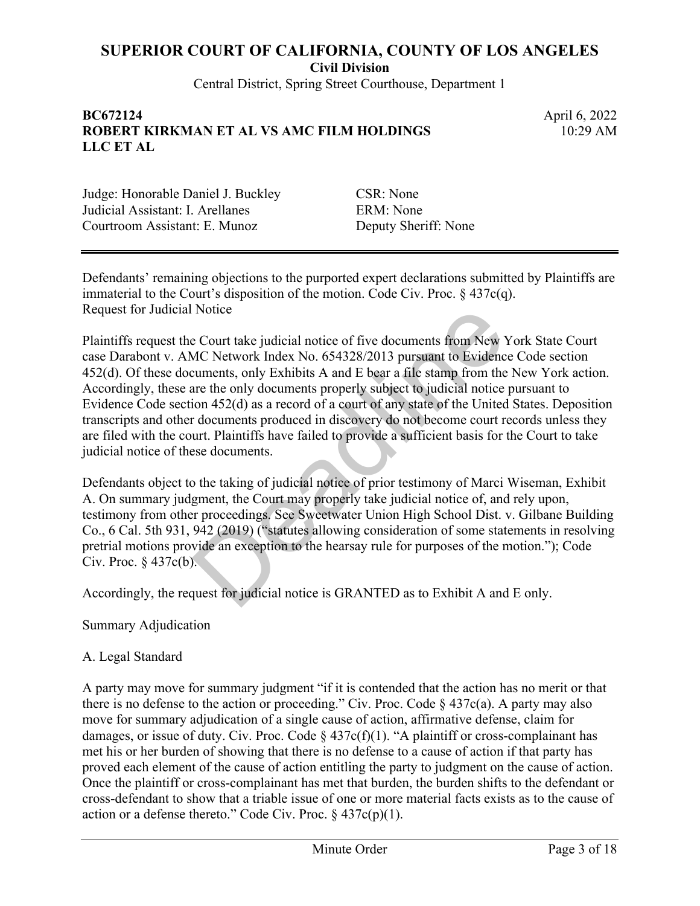**Civil Division**

Central District, Spring Street Courthouse, Department 1

#### **BC672124** April 6, 2022 **ROBERT KIRKMAN ET AL VS AMC FILM HOLDINGS LLC ET AL**

10:29 AM

Judge: Honorable Daniel J. Buckley CSR: None Judicial Assistant: I. Arellanes ERM: None Courtroom Assistant: E. Munoz Deputy Sheriff: None

Defendants' remaining objections to the purported expert declarations submitted by Plaintiffs are immaterial to the Court's disposition of the motion. Code Civ. Proc.  $\S$  437c(q). Request for Judicial Notice

Plaintiffs request the Court take judicial notice of five documents from New York State Court case Darabont v. AMC Network Index No. 654328/2013 pursuant to Evidence Code section 452(d). Of these documents, only Exhibits A and E bear a file stamp from the New York action. Accordingly, these are the only documents properly subject to judicial notice pursuant to Evidence Code section 452(d) as a record of a court of any state of the United States. Deposition transcripts and other documents produced in discovery do not become court records unless they are filed with the court. Plaintiffs have failed to provide a sufficient basis for the Court to take judicial notice of these documents. Provide a count take judicial notice of five documents from New MC Network Index No. 654328/2013 pursuant to Evidence cuments, only Exhibits A and E bear a file stamp from the new documents properly subject to judicial not

Defendants object to the taking of judicial notice of prior testimony of Marci Wiseman, Exhibit A. On summary judgment, the Court may properly take judicial notice of, and rely upon, testimony from other proceedings. See Sweetwater Union High School Dist. v. Gilbane Building Co., 6 Cal. 5th 931, 942 (2019) ("statutes allowing consideration of some statements in resolving pretrial motions provide an exception to the hearsay rule for purposes of the motion."); Code Civ. Proc.  $§$  437 $c(b)$ .

Accordingly, the request for judicial notice is GRANTED as to Exhibit A and E only.

Summary Adjudication

#### A. Legal Standard

A party may move for summary judgment "if it is contended that the action has no merit or that there is no defense to the action or proceeding." Civ. Proc. Code  $\S$  437c(a). A party may also move for summary adjudication of a single cause of action, affirmative defense, claim for damages, or issue of duty. Civ. Proc. Code  $\S$  437c(f)(1). "A plaintiff or cross-complainant has met his or her burden of showing that there is no defense to a cause of action if that party has proved each element of the cause of action entitling the party to judgment on the cause of action. Once the plaintiff or cross-complainant has met that burden, the burden shifts to the defendant or cross-defendant to show that a triable issue of one or more material facts exists as to the cause of action or a defense thereto." Code Civ. Proc.  $\S 437c(p)(1)$ .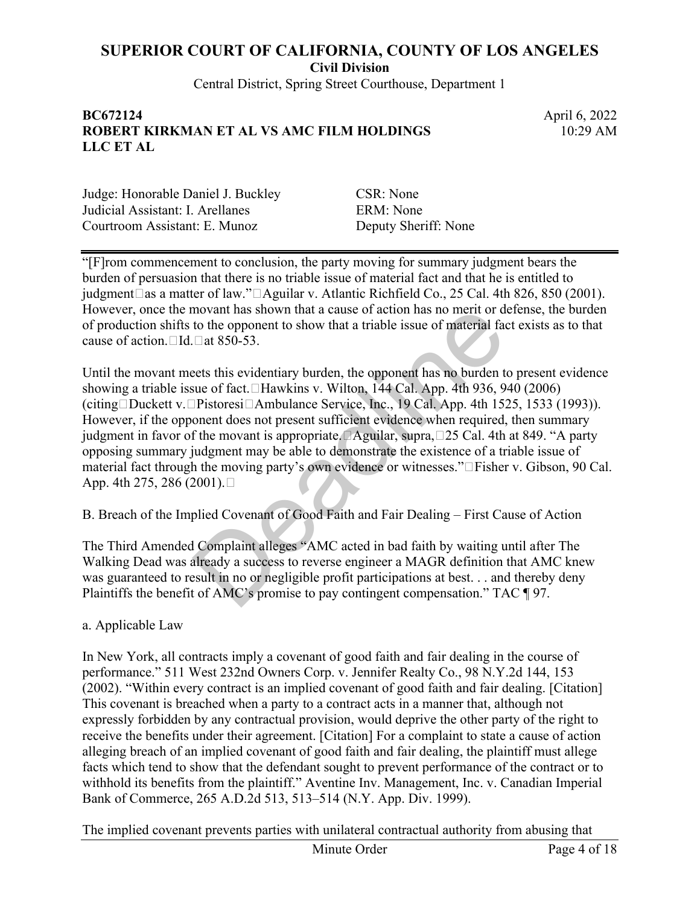**Civil Division**

Central District, Spring Street Courthouse, Department 1

#### **BC672124** April 6, 2022 **ROBERT KIRKMAN ET AL VS AMC FILM HOLDINGS LLC ET AL**

10:29 AM

Judge: Honorable Daniel J. Buckley CSR: None Judicial Assistant: I. Arellanes ERM: None Courtroom Assistant: E. Munoz Deputy Sheriff: None

"[F]rom commencement to conclusion, the party moving for summary judgment bears the burden of persuasion that there is no triable issue of material fact and that he is entitled to judgment as a matter of law." Aguilar v. Atlantic Richfield Co., 25 Cal. 4th 826, 850 (2001). However, once the movant has shown that a cause of action has no merit or defense, the burden of production shifts to the opponent to show that a triable issue of material fact exists as to that cause of action. Id. at 850-53.

Until the movant meets this evidentiary burden, the opponent has no burden to present evidence showing a triable issue of fact. Hawkins v. Wilton, 144 Cal. App. 4th 936, 940 (2006) (citing Duckett v. Pistoresi Ambulance Service, Inc., 19 Cal. App. 4th 1525, 1533 (1993)). However, if the opponent does not present sufficient evidence when required, then summary judgment in favor of the movant is appropriate. Aguilar, supra, 25 Cal. 4th at 849. "A party opposing summary judgment may be able to demonstrate the existence of a triable issue of material fact through the moving party's own evidence or witnesses."□Fisher v. Gibson, 90 Cal. App. 4th 275, 286 (2001).□ novant has shown that a cause of action has no merit or d<br>to the opponent to show that a triable issue of material fac<br>
□ at 850-53.<br>
eets this evidentiary burden, the opponent has no burden to<br>
usue of fact. CHawkins v.

B. Breach of the Implied Covenant of Good Faith and Fair Dealing – First Cause of Action

The Third Amended Complaint alleges "AMC acted in bad faith by waiting until after The Walking Dead was already a success to reverse engineer a MAGR definition that AMC knew was guaranteed to result in no or negligible profit participations at best. . . and thereby deny Plaintiffs the benefit of AMC's promise to pay contingent compensation." TAC ¶ 97.

#### a. Applicable Law

In New York, all contracts imply a covenant of good faith and fair dealing in the course of performance." 511 West 232nd Owners Corp. v. Jennifer Realty Co., 98 N.Y.2d 144, 153 (2002). "Within every contract is an implied covenant of good faith and fair dealing. [Citation] This covenant is breached when a party to a contract acts in a manner that, although not expressly forbidden by any contractual provision, would deprive the other party of the right to receive the benefits under their agreement. [Citation] For a complaint to state a cause of action alleging breach of an implied covenant of good faith and fair dealing, the plaintiff must allege facts which tend to show that the defendant sought to prevent performance of the contract or to withhold its benefits from the plaintiff." Aventine Inv. Management, Inc. v. Canadian Imperial Bank of Commerce, 265 A.D.2d 513, 513–514 (N.Y. App. Div. 1999).

The implied covenant prevents parties with unilateral contractual authority from abusing that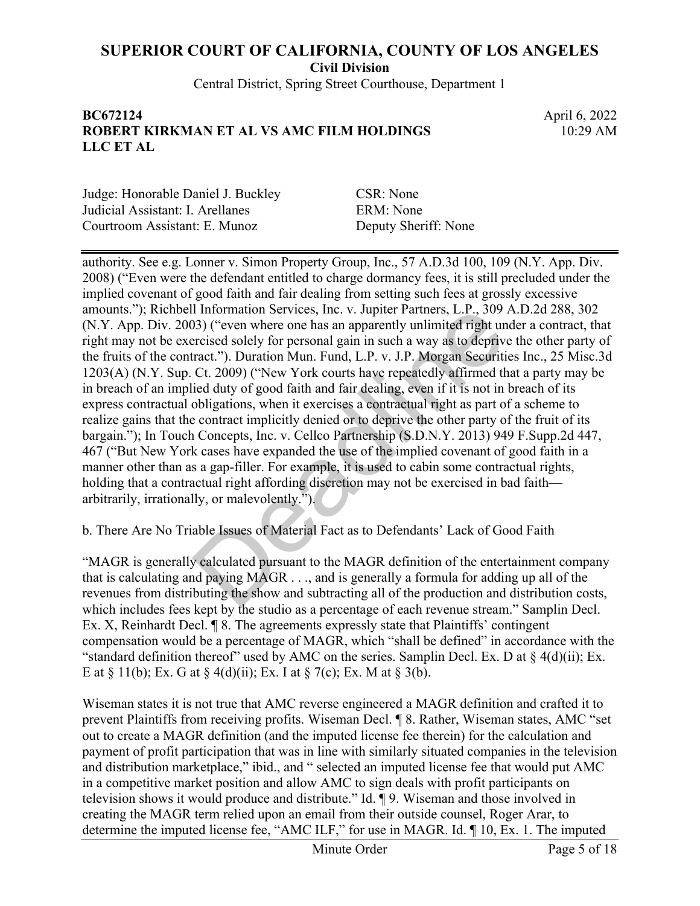**Civil Division**

Central District, Spring Street Courthouse, Department 1

#### **BC672124** April 6, 2022 **ROBERT KIRKMAN ET AL VS AMC FILM HOLDINGS LLC ET AL**

10:29 AM

Judge: Honorable Daniel J. Buckley CSR: None Judicial Assistant: I. Arellanes ERM: None Courtroom Assistant: E. Munoz Deputy Sheriff: None

authority. See e.g. Lonner v. Simon Property Group, Inc., 57 A.D.3d 100, 109 (N.Y. App. Div. 2008) ("Even were the defendant entitled to charge dormancy fees, it is still precluded under the implied covenant of good faith and fair dealing from setting such fees at grossly excessive amounts."); Richbell Information Services, Inc. v. Jupiter Partners, L.P., 309 A.D.2d 288, 302 (N.Y. App. Div. 2003) ("even where one has an apparently unlimited right under a contract, that right may not be exercised solely for personal gain in such a way as to deprive the other party of the fruits of the contract."). Duration Mun. Fund, L.P. v. J.P. Morgan Securities Inc., 25 Misc.3d 1203(A) (N.Y. Sup. Ct. 2009) ("New York courts have repeatedly affirmed that a party may be in breach of an implied duty of good faith and fair dealing, even if it is not in breach of its express contractual obligations, when it exercises a contractual right as part of a scheme to realize gains that the contract implicitly denied or to deprive the other party of the fruit of its bargain."); In Touch Concepts, Inc. v. Cellco Partnership (S.D.N.Y. 2013) 949 F.Supp.2d 447, 467 ("But New York cases have expanded the use of the implied covenant of good faith in a manner other than as a gap-filler. For example, it is used to cabin some contractual rights, holding that a contractual right affording discretion may not be exercised in bad faith arbitrarily, irrationally, or malevolently."). I Information Services, Inc. v. Jupiter Partners, L.P., 309<br>33) ("even where one has an apparently unlimited right un<br>recised solely for personal gain in such a way as to deprive<br>ract."). Duration Mun. Fund, L.P. v. J.P.

b. There Are No Triable Issues of Material Fact as to Defendants' Lack of Good Faith

"MAGR is generally calculated pursuant to the MAGR definition of the entertainment company that is calculating and paying MAGR . . ., and is generally a formula for adding up all of the revenues from distributing the show and subtracting all of the production and distribution costs, which includes fees kept by the studio as a percentage of each revenue stream." Samplin Decl. Ex. X, Reinhardt Decl. ¶ 8. The agreements expressly state that Plaintiffs' contingent compensation would be a percentage of MAGR, which "shall be defined" in accordance with the "standard definition thereof" used by AMC on the series. Samplin Decl. Ex. D at § 4(d)(ii); Ex. E at  $\S 11(b)$ ; Ex. G at  $\S 4(d)(ii)$ ; Ex. I at  $\S 7(c)$ ; Ex. M at  $\S 3(b)$ .

Wiseman states it is not true that AMC reverse engineered a MAGR definition and crafted it to prevent Plaintiffs from receiving profits. Wiseman Decl. ¶ 8. Rather, Wiseman states, AMC "set out to create a MAGR definition (and the imputed license fee therein) for the calculation and payment of profit participation that was in line with similarly situated companies in the television and distribution marketplace," ibid., and " selected an imputed license fee that would put AMC in a competitive market position and allow AMC to sign deals with profit participants on television shows it would produce and distribute." Id. ¶ 9. Wiseman and those involved in creating the MAGR term relied upon an email from their outside counsel, Roger Arar, to determine the imputed license fee, "AMC ILF," for use in MAGR. Id. ¶ 10, Ex. 1. The imputed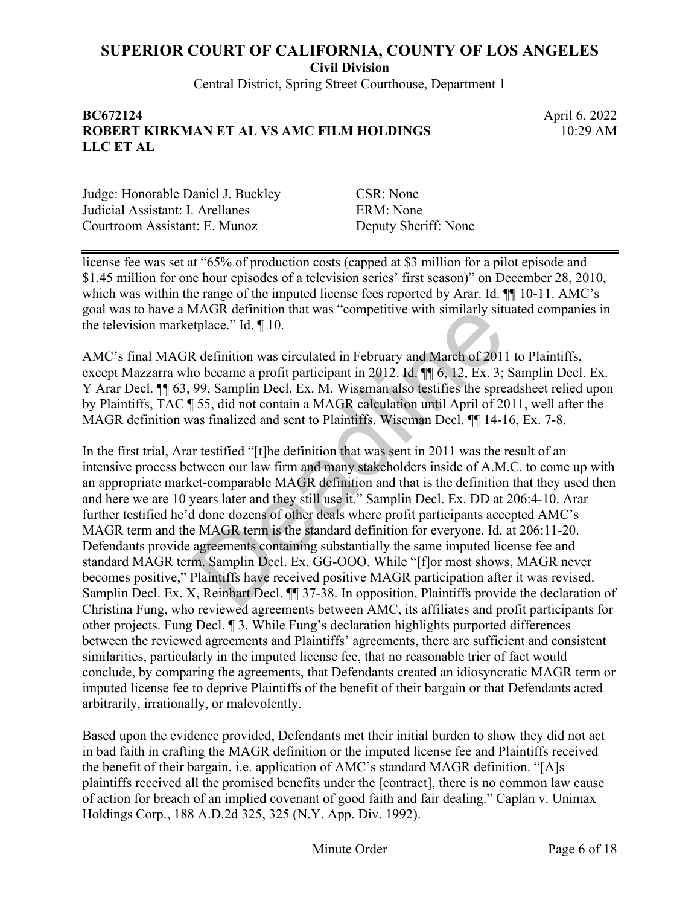**Civil Division**

Central District, Spring Street Courthouse, Department 1

#### **BC672124** April 6, 2022 **ROBERT KIRKMAN ET AL VS AMC FILM HOLDINGS LLC ET AL**

10:29 AM

Judge: Honorable Daniel J. Buckley CSR: None Judicial Assistant: I. Arellanes ERM: None Courtroom Assistant: E. Munoz Deputy Sheriff: None

license fee was set at "65% of production costs (capped at \$3 million for a pilot episode and \$1.45 million for one hour episodes of a television series' first season)" on December 28, 2010, which was within the range of the imputed license fees reported by Arar. Id.  $\P$  10-11. AMC's goal was to have a MAGR definition that was "competitive with similarly situated companies in the television marketplace." Id. ¶ 10.

AMC's final MAGR definition was circulated in February and March of 2011 to Plaintiffs, except Mazzarra who became a profit participant in 2012. Id.  $\P$  6, 12, Ex. 3; Samplin Decl. Ex. Y Arar Decl. ¶¶ 63, 99, Samplin Decl. Ex. M. Wiseman also testifies the spreadsheet relied upon by Plaintiffs, TAC ¶ 55, did not contain a MAGR calculation until April of 2011, well after the MAGR definition was finalized and sent to Plaintiffs. Wiseman Decl. ¶¶ 14-16, Ex. 7-8.

In the first trial, Arar testified "[t]he definition that was sent in 2011 was the result of an intensive process between our law firm and many stakeholders inside of A.M.C. to come up with an appropriate market-comparable MAGR definition and that is the definition that they used then and here we are 10 years later and they still use it." Samplin Decl. Ex. DD at 206:4-10. Arar further testified he'd done dozens of other deals where profit participants accepted AMC's MAGR term and the MAGR term is the standard definition for everyone. Id. at 206:11-20. Defendants provide agreements containing substantially the same imputed license fee and standard MAGR term. Samplin Decl. Ex. GG-OOO. While "[f]or most shows, MAGR never becomes positive," Plaintiffs have received positive MAGR participation after it was revised. Samplin Decl. Ex. X, Reinhart Decl. ¶¶ 37-38. In opposition, Plaintiffs provide the declaration of Christina Fung, who reviewed agreements between AMC, its affiliates and profit participants for other projects. Fung Decl. ¶ 3. While Fung's declaration highlights purported differences between the reviewed agreements and Plaintiffs' agreements, there are sufficient and consistent similarities, particularly in the imputed license fee, that no reasonable trier of fact would conclude, by comparing the agreements, that Defendants created an idiosyncratic MAGR term or imputed license fee to deprive Plaintiffs of the benefit of their bargain or that Defendants acted arbitrarily, irrationally, or malevolently. MAGR definition that was "competitive with similarly sitt<br>tplace." Id. ¶ 10.<br>
Refinition was circulated in February and March of 2011<br>
o became a profit participant in 2012. Id. ¶ 6, 12, Ex. 3;<br>
99, Samplin Decl. Ex. M. W

Based upon the evidence provided, Defendants met their initial burden to show they did not act in bad faith in crafting the MAGR definition or the imputed license fee and Plaintiffs received the benefit of their bargain, i.e. application of AMC's standard MAGR definition. "[A]s plaintiffs received all the promised benefits under the [contract], there is no common law cause of action for breach of an implied covenant of good faith and fair dealing." Caplan v. Unimax Holdings Corp., 188 A.D.2d 325, 325 (N.Y. App. Div. 1992).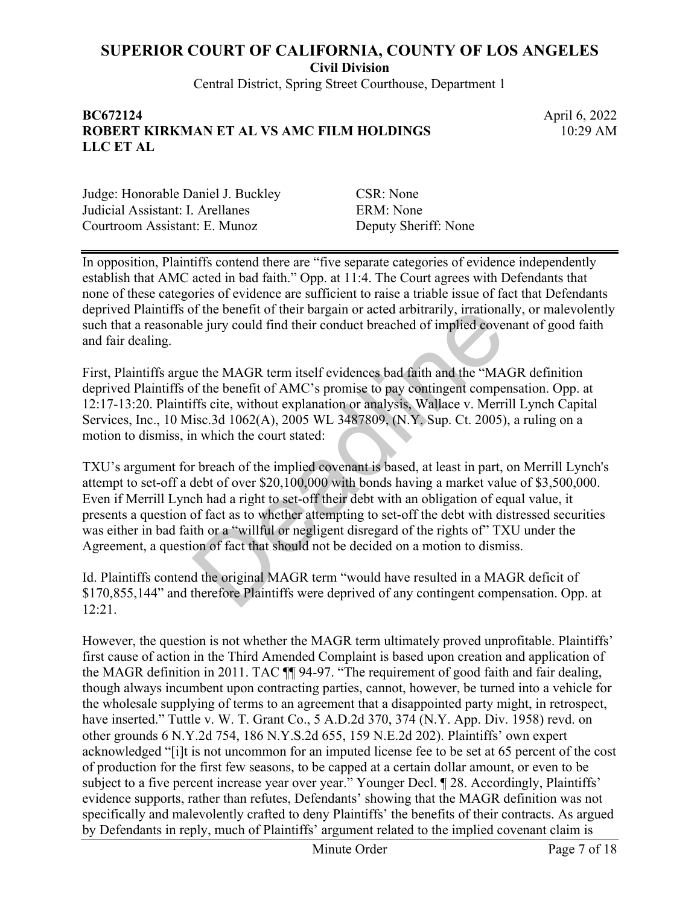**Civil Division**

Central District, Spring Street Courthouse, Department 1

#### **BC672124** April 6, 2022 **ROBERT KIRKMAN ET AL VS AMC FILM HOLDINGS LLC ET AL**

10:29 AM

Judge: Honorable Daniel J. Buckley CSR: None Judicial Assistant: I. Arellanes ERM: None Courtroom Assistant: E. Munoz Deputy Sheriff: None

In opposition, Plaintiffs contend there are "five separate categories of evidence independently establish that AMC acted in bad faith." Opp. at 11:4. The Court agrees with Defendants that none of these categories of evidence are sufficient to raise a triable issue of fact that Defendants deprived Plaintiffs of the benefit of their bargain or acted arbitrarily, irrationally, or malevolently such that a reasonable jury could find their conduct breached of implied covenant of good faith and fair dealing.

First, Plaintiffs argue the MAGR term itself evidences bad faith and the "MAGR definition deprived Plaintiffs of the benefit of AMC's promise to pay contingent compensation. Opp. at 12:17-13:20. Plaintiffs cite, without explanation or analysis, Wallace v. Merrill Lynch Capital Services, Inc., 10 Misc.3d 1062(A), 2005 WL 3487809, (N.Y. Sup. Ct. 2005), a ruling on a motion to dismiss, in which the court stated:

TXU's argument for breach of the implied covenant is based, at least in part, on Merrill Lynch's attempt to set-off a debt of over \$20,100,000 with bonds having a market value of \$3,500,000. Even if Merrill Lynch had a right to set-off their debt with an obligation of equal value, it presents a question of fact as to whether attempting to set-off the debt with distressed securities was either in bad faith or a "willful or negligent disregard of the rights of" TXU under the Agreement, a question of fact that should not be decided on a motion to dismiss. If the benefit of their bargain or acted arbitrarily, irrational<br>le jury could find their conduct breached of implied cover<br>e the MAGR term itself evidences bad faith and the "MA<br>ff the benefit of AMC's promise to pay cont

Id. Plaintiffs contend the original MAGR term "would have resulted in a MAGR deficit of \$170,855,144" and therefore Plaintiffs were deprived of any contingent compensation. Opp. at 12:21.

However, the question is not whether the MAGR term ultimately proved unprofitable. Plaintiffs' first cause of action in the Third Amended Complaint is based upon creation and application of the MAGR definition in 2011. TAC ¶¶ 94-97. "The requirement of good faith and fair dealing, though always incumbent upon contracting parties, cannot, however, be turned into a vehicle for the wholesale supplying of terms to an agreement that a disappointed party might, in retrospect, have inserted." Tuttle v. W. T. Grant Co., 5 A.D.2d 370, 374 (N.Y. App. Div. 1958) revd. on other grounds 6 N.Y.2d 754, 186 N.Y.S.2d 655, 159 N.E.2d 202). Plaintiffs' own expert acknowledged "[i]t is not uncommon for an imputed license fee to be set at 65 percent of the cost of production for the first few seasons, to be capped at a certain dollar amount, or even to be subject to a five percent increase year over year." Younger Decl.  $\P$  28. Accordingly, Plaintiffs' evidence supports, rather than refutes, Defendants' showing that the MAGR definition was not specifically and malevolently crafted to deny Plaintiffs' the benefits of their contracts. As argued by Defendants in reply, much of Plaintiffs' argument related to the implied covenant claim is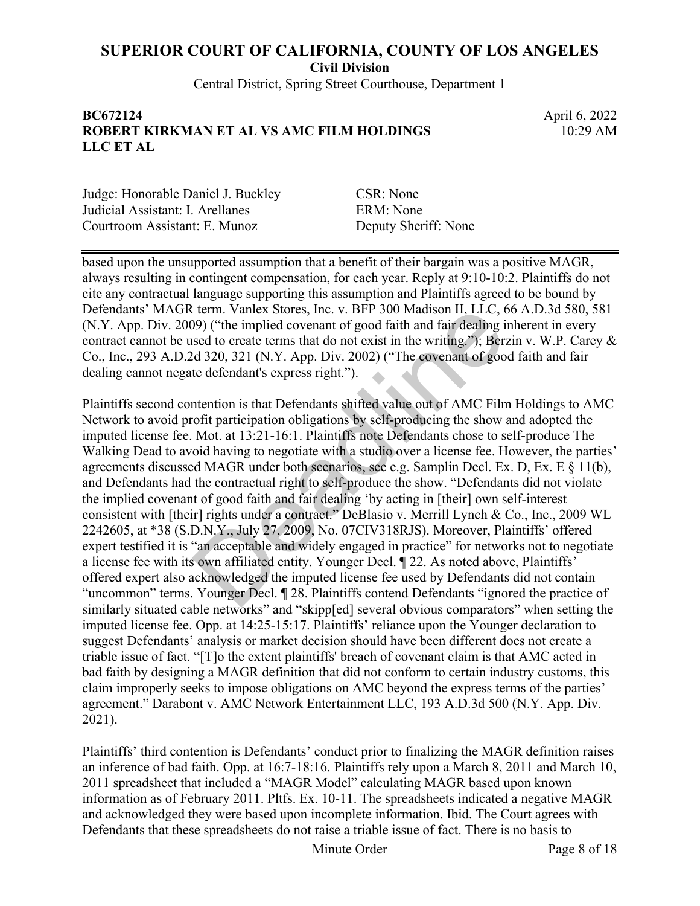**Civil Division**

Central District, Spring Street Courthouse, Department 1

#### **BC672124** April 6, 2022 **ROBERT KIRKMAN ET AL VS AMC FILM HOLDINGS LLC ET AL**

10:29 AM

Judge: Honorable Daniel J. Buckley CSR: None Judicial Assistant: I. Arellanes ERM: None Courtroom Assistant: E. Munoz Deputy Sheriff: None

based upon the unsupported assumption that a benefit of their bargain was a positive MAGR, always resulting in contingent compensation, for each year. Reply at 9:10-10:2. Plaintiffs do not cite any contractual language supporting this assumption and Plaintiffs agreed to be bound by Defendants' MAGR term. Vanlex Stores, Inc. v. BFP 300 Madison II, LLC, 66 A.D.3d 580, 581 (N.Y. App. Div. 2009) ("the implied covenant of good faith and fair dealing inherent in every contract cannot be used to create terms that do not exist in the writing."); Berzin v. W.P. Carey & Co., Inc., 293 A.D.2d 320, 321 (N.Y. App. Div. 2002) ("The covenant of good faith and fair dealing cannot negate defendant's express right.").

Plaintiffs second contention is that Defendants shifted value out of AMC Film Holdings to AMC Network to avoid profit participation obligations by self-producing the show and adopted the imputed license fee. Mot. at 13:21-16:1. Plaintiffs note Defendants chose to self-produce The Walking Dead to avoid having to negotiate with a studio over a license fee. However, the parties' agreements discussed MAGR under both scenarios, see e.g. Samplin Decl. Ex. D, Ex. E § 11(b), and Defendants had the contractual right to self-produce the show. "Defendants did not violate the implied covenant of good faith and fair dealing 'by acting in [their] own self-interest consistent with [their] rights under a contract." DeBlasio v. Merrill Lynch & Co., Inc., 2009 WL 2242605, at \*38 (S.D.N.Y., July 27, 2009, No. 07CIV318RJS). Moreover, Plaintiffs' offered expert testified it is "an acceptable and widely engaged in practice" for networks not to negotiate a license fee with its own affiliated entity. Younger Decl. ¶ 22. As noted above, Plaintiffs' offered expert also acknowledged the imputed license fee used by Defendants did not contain "uncommon" terms. Younger Decl. ¶ 28. Plaintiffs contend Defendants "ignored the practice of similarly situated cable networks" and "skipp[ed] several obvious comparators" when setting the imputed license fee. Opp. at 14:25-15:17. Plaintiffs' reliance upon the Younger declaration to suggest Defendants' analysis or market decision should have been different does not create a triable issue of fact. "[T]o the extent plaintiffs' breach of covenant claim is that AMC acted in bad faith by designing a MAGR definition that did not conform to certain industry customs, this claim improperly seeks to impose obligations on AMC beyond the express terms of the parties' agreement." Darabont v. AMC Network Entertainment LLC, 193 A.D.3d 500 (N.Y. App. Div. 2021). term. Vanlex Stores, Inc. v. BFP 300 Madison II, LLC, 6<br>99) ("the implied covenant of good faith and fair dealing i<br>sed to create terms that do not exist in the writing."); Ber:<br>d 320, 321 (N.Y. App. Div. 2002) ("The coven

Plaintiffs' third contention is Defendants' conduct prior to finalizing the MAGR definition raises an inference of bad faith. Opp. at 16:7-18:16. Plaintiffs rely upon a March 8, 2011 and March 10, 2011 spreadsheet that included a "MAGR Model" calculating MAGR based upon known information as of February 2011. Pltfs. Ex. 10-11. The spreadsheets indicated a negative MAGR and acknowledged they were based upon incomplete information. Ibid. The Court agrees with Defendants that these spreadsheets do not raise a triable issue of fact. There is no basis to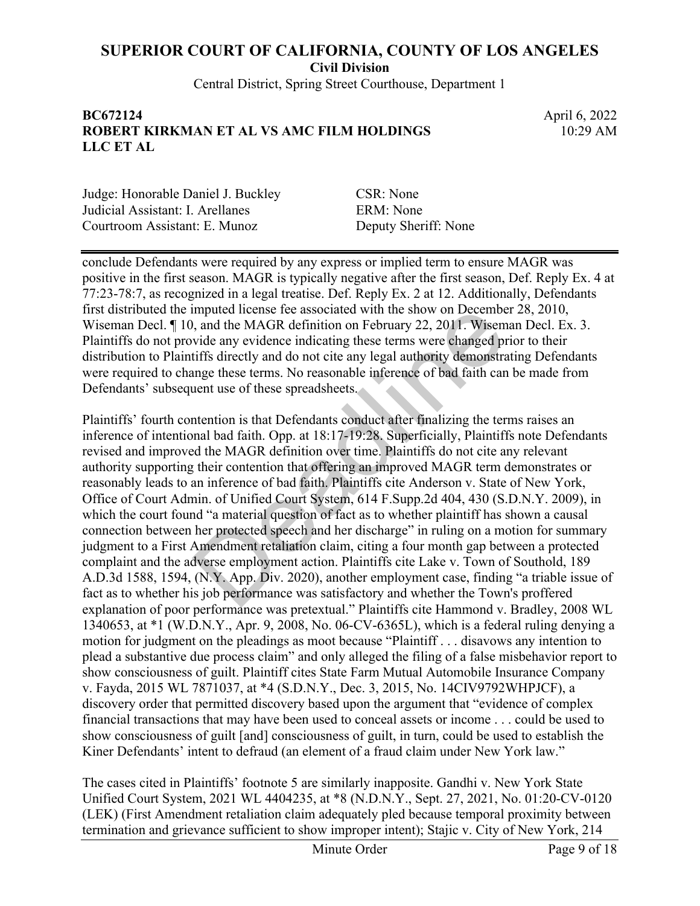**Civil Division**

Central District, Spring Street Courthouse, Department 1

#### **BC672124** April 6, 2022 **ROBERT KIRKMAN ET AL VS AMC FILM HOLDINGS LLC ET AL**

10:29 AM

Judge: Honorable Daniel J. Buckley CSR: None Judicial Assistant: I. Arellanes ERM: None Courtroom Assistant: E. Munoz Deputy Sheriff: None

conclude Defendants were required by any express or implied term to ensure MAGR was positive in the first season. MAGR is typically negative after the first season, Def. Reply Ex. 4 at 77:23-78:7, as recognized in a legal treatise. Def. Reply Ex. 2 at 12. Additionally, Defendants first distributed the imputed license fee associated with the show on December 28, 2010, Wiseman Decl.  $\P$  10, and the MAGR definition on February 22, 2011. Wiseman Decl. Ex. 3. Plaintiffs do not provide any evidence indicating these terms were changed prior to their distribution to Plaintiffs directly and do not cite any legal authority demonstrating Defendants were required to change these terms. No reasonable inference of bad faith can be made from Defendants' subsequent use of these spreadsheets.

Plaintiffs' fourth contention is that Defendants conduct after finalizing the terms raises an inference of intentional bad faith. Opp. at 18:17-19:28. Superficially, Plaintiffs note Defendants revised and improved the MAGR definition over time. Plaintiffs do not cite any relevant authority supporting their contention that offering an improved MAGR term demonstrates or reasonably leads to an inference of bad faith. Plaintiffs cite Anderson v. State of New York, Office of Court Admin. of Unified Court System, 614 F.Supp.2d 404, 430 (S.D.N.Y. 2009), in which the court found "a material question of fact as to whether plaintiff has shown a causal connection between her protected speech and her discharge" in ruling on a motion for summary judgment to a First Amendment retaliation claim, citing a four month gap between a protected complaint and the adverse employment action. Plaintiffs cite Lake v. Town of Southold, 189 A.D.3d 1588, 1594, (N.Y. App. Div. 2020), another employment case, finding "a triable issue of fact as to whether his job performance was satisfactory and whether the Town's proffered explanation of poor performance was pretextual." Plaintiffs cite Hammond v. Bradley, 2008 WL 1340653, at \*1 (W.D.N.Y., Apr. 9, 2008, No. 06-CV-6365L), which is a federal ruling denying a motion for judgment on the pleadings as moot because "Plaintiff . . . disavows any intention to plead a substantive due process claim" and only alleged the filing of a false misbehavior report to show consciousness of guilt. Plaintiff cites State Farm Mutual Automobile Insurance Company v. Fayda, 2015 WL 7871037, at \*4 (S.D.N.Y., Dec. 3, 2015, No. 14CIV9792WHPJCF), a discovery order that permitted discovery based upon the argument that "evidence of complex financial transactions that may have been used to conceal assets or income . . . could be used to show consciousness of guilt [and] consciousness of guilt, in turn, could be used to establish the Kiner Defendants' intent to defraud (an element of a fraud claim under New York law." mputed license tee associated with the show on Decembe, and the MAGR definition on February 22, 2011. Wisem vide any evidence indicating these terms were changed ptiffs directly and do not cite any legal authority demonstr

The cases cited in Plaintiffs' footnote 5 are similarly inapposite. Gandhi v. New York State Unified Court System, 2021 WL 4404235, at \*8 (N.D.N.Y., Sept. 27, 2021, No. 01:20-CV-0120 (LEK) (First Amendment retaliation claim adequately pled because temporal proximity between termination and grievance sufficient to show improper intent); Stajic v. City of New York, 214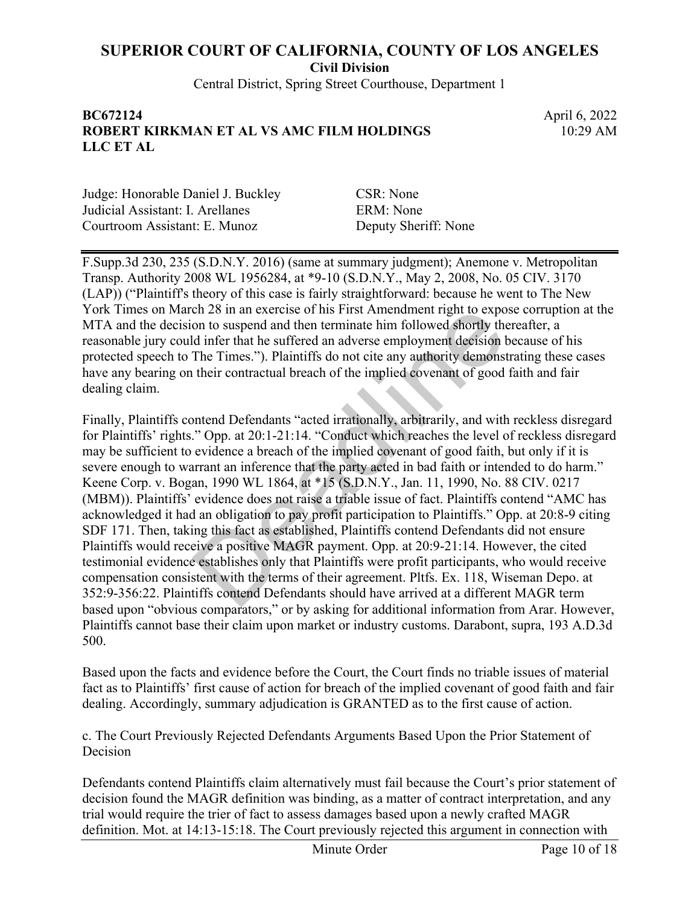**Civil Division**

Central District, Spring Street Courthouse, Department 1

#### **BC672124** April 6, 2022 **ROBERT KIRKMAN ET AL VS AMC FILM HOLDINGS LLC ET AL**

10:29 AM

Judge: Honorable Daniel J. Buckley CSR: None Judicial Assistant: I. Arellanes ERM: None Courtroom Assistant: E. Munoz Deputy Sheriff: None

F.Supp.3d 230, 235 (S.D.N.Y. 2016) (same at summary judgment); Anemone v. Metropolitan Transp. Authority 2008 WL 1956284, at \*9-10 (S.D.N.Y., May 2, 2008, No. 05 CIV. 3170 (LAP)) ("Plaintiff's theory of this case is fairly straightforward: because he went to The New York Times on March 28 in an exercise of his First Amendment right to expose corruption at the MTA and the decision to suspend and then terminate him followed shortly thereafter, a reasonable jury could infer that he suffered an adverse employment decision because of his protected speech to The Times."). Plaintiffs do not cite any authority demonstrating these cases have any bearing on their contractual breach of the implied covenant of good faith and fair dealing claim.

Finally, Plaintiffs contend Defendants "acted irrationally, arbitrarily, and with reckless disregard for Plaintiffs' rights." Opp. at 20:1-21:14. "Conduct which reaches the level of reckless disregard may be sufficient to evidence a breach of the implied covenant of good faith, but only if it is severe enough to warrant an inference that the party acted in bad faith or intended to do harm." Keene Corp. v. Bogan, 1990 WL 1864, at \*15 (S.D.N.Y., Jan. 11, 1990, No. 88 CIV. 0217 (MBM)). Plaintiffs' evidence does not raise a triable issue of fact. Plaintiffs contend "AMC has acknowledged it had an obligation to pay profit participation to Plaintiffs." Opp. at 20:8-9 citing SDF 171. Then, taking this fact as established, Plaintiffs contend Defendants did not ensure Plaintiffs would receive a positive MAGR payment. Opp. at 20:9-21:14. However, the cited testimonial evidence establishes only that Plaintiffs were profit participants, who would receive compensation consistent with the terms of their agreement. Pltfs. Ex. 118, Wiseman Depo. at 352:9-356:22. Plaintiffs contend Defendants should have arrived at a different MAGR term based upon "obvious comparators," or by asking for additional information from Arar. However, Plaintiffs cannot base their claim upon market or industry customs. Darabont, supra, 193 A.D.3d 500. ch 28 in an exercise of his First Amendment right to export of his First Amendment right to export of the differed an adverse employment decision I<br>The Times."). Plaintiffs do not cite any authority demonst their contractu

Based upon the facts and evidence before the Court, the Court finds no triable issues of material fact as to Plaintiffs' first cause of action for breach of the implied covenant of good faith and fair dealing. Accordingly, summary adjudication is GRANTED as to the first cause of action.

c. The Court Previously Rejected Defendants Arguments Based Upon the Prior Statement of Decision

Defendants contend Plaintiffs claim alternatively must fail because the Court's prior statement of decision found the MAGR definition was binding, as a matter of contract interpretation, and any trial would require the trier of fact to assess damages based upon a newly crafted MAGR definition. Mot. at 14:13-15:18. The Court previously rejected this argument in connection with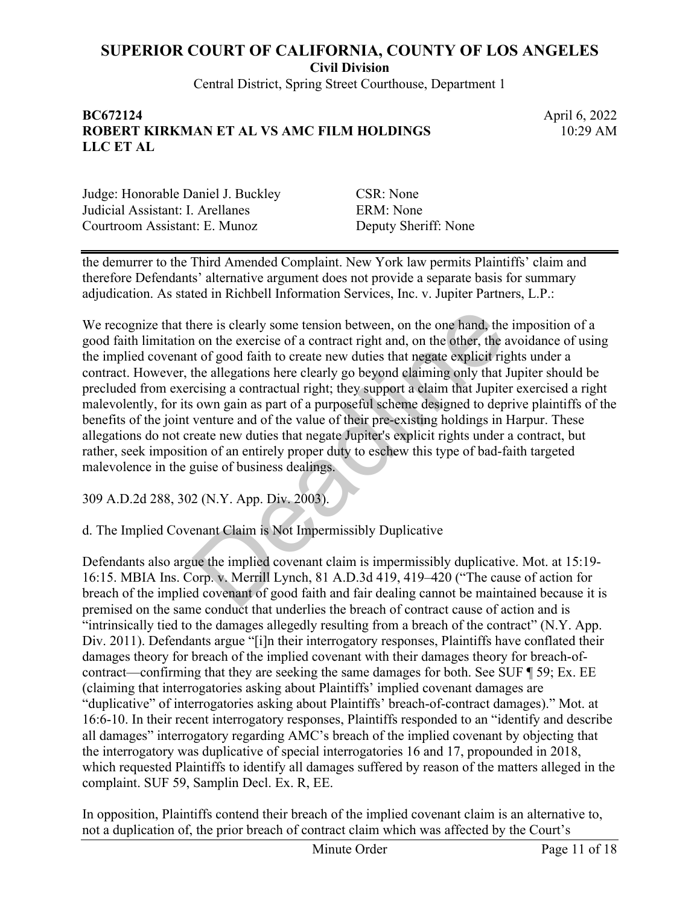**Civil Division**

Central District, Spring Street Courthouse, Department 1

#### **BC672124** April 6, 2022 **ROBERT KIRKMAN ET AL VS AMC FILM HOLDINGS LLC ET AL**

10:29 AM

Judge: Honorable Daniel J. Buckley CSR: None Judicial Assistant: I. Arellanes ERM: None Courtroom Assistant: E. Munoz Deputy Sheriff: None

the demurrer to the Third Amended Complaint. New York law permits Plaintiffs' claim and therefore Defendants' alternative argument does not provide a separate basis for summary adjudication. As stated in Richbell Information Services, Inc. v. Jupiter Partners, L.P.:

We recognize that there is clearly some tension between, on the one hand, the imposition of a good faith limitation on the exercise of a contract right and, on the other, the avoidance of using the implied covenant of good faith to create new duties that negate explicit rights under a contract. However, the allegations here clearly go beyond claiming only that Jupiter should be precluded from exercising a contractual right; they support a claim that Jupiter exercised a right malevolently, for its own gain as part of a purposeful scheme designed to deprive plaintiffs of the benefits of the joint venture and of the value of their pre-existing holdings in Harpur. These allegations do not create new duties that negate Jupiter's explicit rights under a contract, but rather, seek imposition of an entirely proper duty to eschew this type of bad-faith targeted malevolence in the guise of business dealings. here is clearly some tension between, on the one hand, the none of a contract right and, on the other, the at to f good faith to create new duties that negate explicit right and contract right; they support a claim that Ju

309 A.D.2d 288, 302 (N.Y. App. Div. 2003).

d. The Implied Covenant Claim is Not Impermissibly Duplicative

Defendants also argue the implied covenant claim is impermissibly duplicative. Mot. at 15:19- 16:15. MBIA Ins. Corp. v. Merrill Lynch, 81 A.D.3d 419, 419–420 ("The cause of action for breach of the implied covenant of good faith and fair dealing cannot be maintained because it is premised on the same conduct that underlies the breach of contract cause of action and is "intrinsically tied to the damages allegedly resulting from a breach of the contract" (N.Y. App. Div. 2011). Defendants argue "[i]n their interrogatory responses, Plaintiffs have conflated their damages theory for breach of the implied covenant with their damages theory for breach-ofcontract—confirming that they are seeking the same damages for both. See SUF ¶ 59; Ex. EE (claiming that interrogatories asking about Plaintiffs' implied covenant damages are "duplicative" of interrogatories asking about Plaintiffs' breach-of-contract damages)." Mot. at 16:6-10. In their recent interrogatory responses, Plaintiffs responded to an "identify and describe all damages" interrogatory regarding AMC's breach of the implied covenant by objecting that the interrogatory was duplicative of special interrogatories 16 and 17, propounded in 2018, which requested Plaintiffs to identify all damages suffered by reason of the matters alleged in the complaint. SUF 59, Samplin Decl. Ex. R, EE.

In opposition, Plaintiffs contend their breach of the implied covenant claim is an alternative to, not a duplication of, the prior breach of contract claim which was affected by the Court's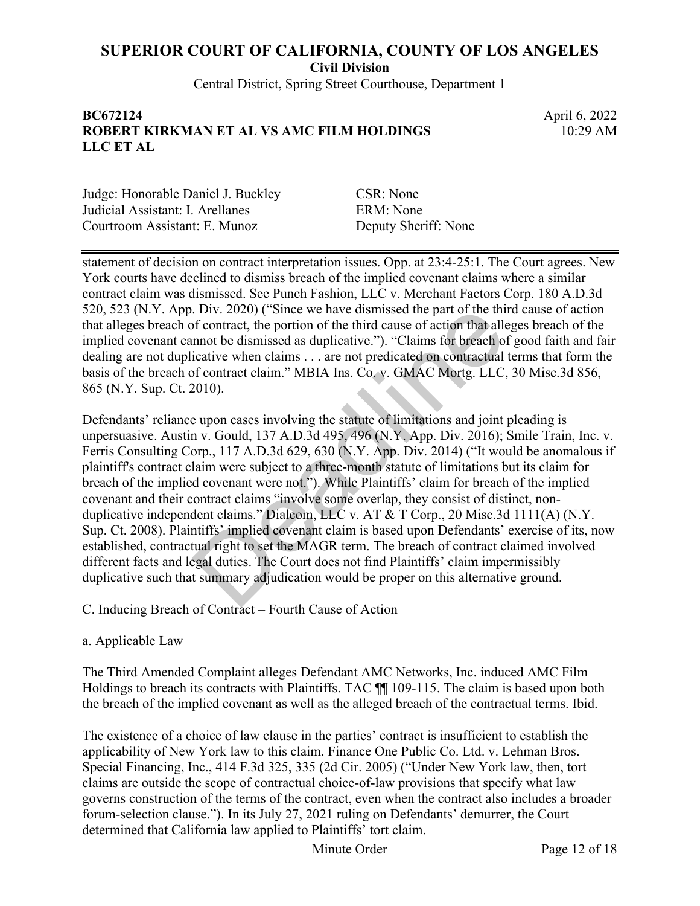**Civil Division**

Central District, Spring Street Courthouse, Department 1

#### **BC672124** April 6, 2022 **ROBERT KIRKMAN ET AL VS AMC FILM HOLDINGS LLC ET AL**

10:29 AM

Judge: Honorable Daniel J. Buckley CSR: None Judicial Assistant: I. Arellanes ERM: None Courtroom Assistant: E. Munoz Deputy Sheriff: None

statement of decision on contract interpretation issues. Opp. at 23:4-25:1. The Court agrees. New York courts have declined to dismiss breach of the implied covenant claims where a similar contract claim was dismissed. See Punch Fashion, LLC v. Merchant Factors Corp. 180 A.D.3d 520, 523 (N.Y. App. Div. 2020) ("Since we have dismissed the part of the third cause of action that alleges breach of contract, the portion of the third cause of action that alleges breach of the implied covenant cannot be dismissed as duplicative."). "Claims for breach of good faith and fair dealing are not duplicative when claims . . . are not predicated on contractual terms that form the basis of the breach of contract claim." MBIA Ins. Co. v. GMAC Mortg. LLC, 30 Misc.3d 856, 865 (N.Y. Sup. Ct. 2010).

Defendants' reliance upon cases involving the statute of limitations and joint pleading is unpersuasive. Austin v. Gould, 137 A.D.3d 495, 496 (N.Y. App. Div. 2016); Smile Train, Inc. v. Ferris Consulting Corp., 117 A.D.3d 629, 630 (N.Y. App. Div. 2014) ("It would be anomalous if plaintiff's contract claim were subject to a three-month statute of limitations but its claim for breach of the implied covenant were not."). While Plaintiffs' claim for breach of the implied covenant and their contract claims "involve some overlap, they consist of distinct, nonduplicative independent claims." Dialcom, LLC v. AT & T Corp., 20 Misc.3d 1111(A) (N.Y. Sup. Ct. 2008). Plaintiffs' implied covenant claim is based upon Defendants' exercise of its, now established, contractual right to set the MAGR term. The breach of contract claimed involved different facts and legal duties. The Court does not find Plaintiffs' claim impermissibly duplicative such that summary adjudication would be proper on this alternative ground. . Div. 2020) ("Since we have dismissed the part of the thin f contract, the portion of the third cause of action that allemnot be dismissed as duplicative."). "Claims for breach of cicative when claims ... are not predica

C. Inducing Breach of Contract – Fourth Cause of Action

a. Applicable Law

The Third Amended Complaint alleges Defendant AMC Networks, Inc. induced AMC Film Holdings to breach its contracts with Plaintiffs. TAC  $\P$  109-115. The claim is based upon both the breach of the implied covenant as well as the alleged breach of the contractual terms. Ibid.

The existence of a choice of law clause in the parties' contract is insufficient to establish the applicability of New York law to this claim. Finance One Public Co. Ltd. v. Lehman Bros. Special Financing, Inc., 414 F.3d 325, 335 (2d Cir. 2005) ("Under New York law, then, tort claims are outside the scope of contractual choice-of-law provisions that specify what law governs construction of the terms of the contract, even when the contract also includes a broader forum-selection clause."). In its July 27, 2021 ruling on Defendants' demurrer, the Court determined that California law applied to Plaintiffs' tort claim.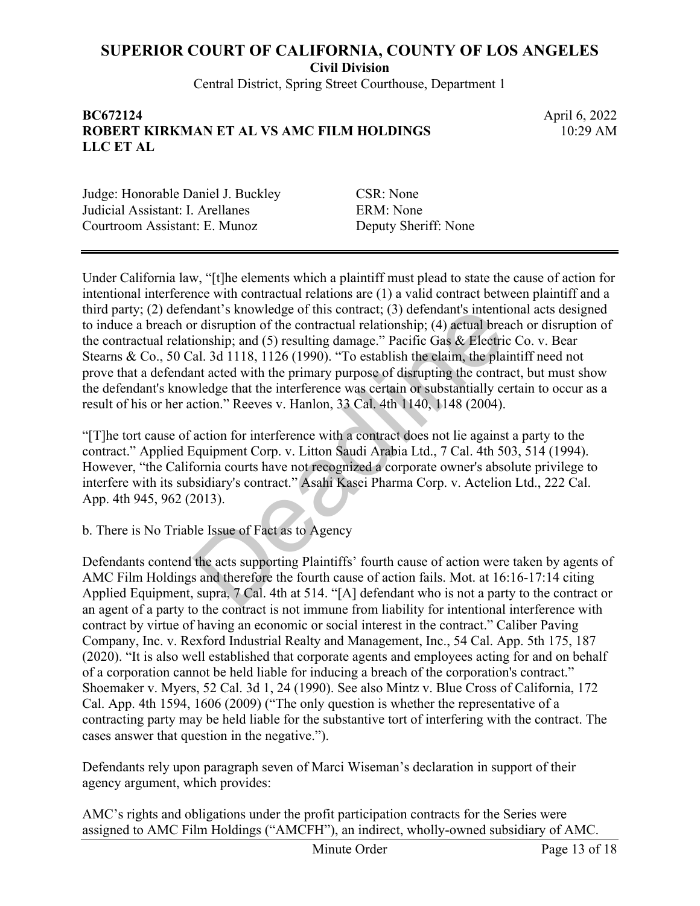**Civil Division**

Central District, Spring Street Courthouse, Department 1

#### **BC672124** April 6, 2022 **ROBERT KIRKMAN ET AL VS AMC FILM HOLDINGS LLC ET AL**

10:29 AM

Judge: Honorable Daniel J. Buckley CSR: None Judicial Assistant: I. Arellanes ERM: None Courtroom Assistant: E. Munoz Deputy Sheriff: None

Under California law, "[t]he elements which a plaintiff must plead to state the cause of action for intentional interference with contractual relations are (1) a valid contract between plaintiff and a third party; (2) defendant's knowledge of this contract; (3) defendant's intentional acts designed to induce a breach or disruption of the contractual relationship; (4) actual breach or disruption of the contractual relationship; and (5) resulting damage." Pacific Gas & Electric Co. v. Bear Stearns & Co., 50 Cal. 3d 1118, 1126 (1990). "To establish the claim, the plaintiff need not prove that a defendant acted with the primary purpose of disrupting the contract, but must show the defendant's knowledge that the interference was certain or substantially certain to occur as a result of his or her action." Reeves v. Hanlon, 33 Cal. 4th 1140, 1148 (2004). ndant's knowledge of this contract; (3) defendant's intenti-<br>
r disruption of the contractual relationship; (4) actual breaconship; and (5) resulting damage." Pacific Gas & Electric<br>
al. 3d 1118, 1126 (1990). "To establish

"[T]he tort cause of action for interference with a contract does not lie against a party to the contract." Applied Equipment Corp. v. Litton Saudi Arabia Ltd., 7 Cal. 4th 503, 514 (1994). However, "the California courts have not recognized a corporate owner's absolute privilege to interfere with its subsidiary's contract." Asahi Kasei Pharma Corp. v. Actelion Ltd., 222 Cal. App. 4th 945, 962 (2013).

b. There is No Triable Issue of Fact as to Agency

Defendants contend the acts supporting Plaintiffs' fourth cause of action were taken by agents of AMC Film Holdings and therefore the fourth cause of action fails. Mot. at 16:16-17:14 citing Applied Equipment, supra, 7 Cal. 4th at 514. "[A] defendant who is not a party to the contract or an agent of a party to the contract is not immune from liability for intentional interference with contract by virtue of having an economic or social interest in the contract." Caliber Paving Company, Inc. v. Rexford Industrial Realty and Management, Inc., 54 Cal. App. 5th 175, 187 (2020). "It is also well established that corporate agents and employees acting for and on behalf of a corporation cannot be held liable for inducing a breach of the corporation's contract." Shoemaker v. Myers, 52 Cal. 3d 1, 24 (1990). See also Mintz v. Blue Cross of California, 172 Cal. App. 4th 1594, 1606 (2009) ("The only question is whether the representative of a contracting party may be held liable for the substantive tort of interfering with the contract. The cases answer that question in the negative.").

Defendants rely upon paragraph seven of Marci Wiseman's declaration in support of their agency argument, which provides:

AMC's rights and obligations under the profit participation contracts for the Series were assigned to AMC Film Holdings ("AMCFH"), an indirect, wholly-owned subsidiary of AMC.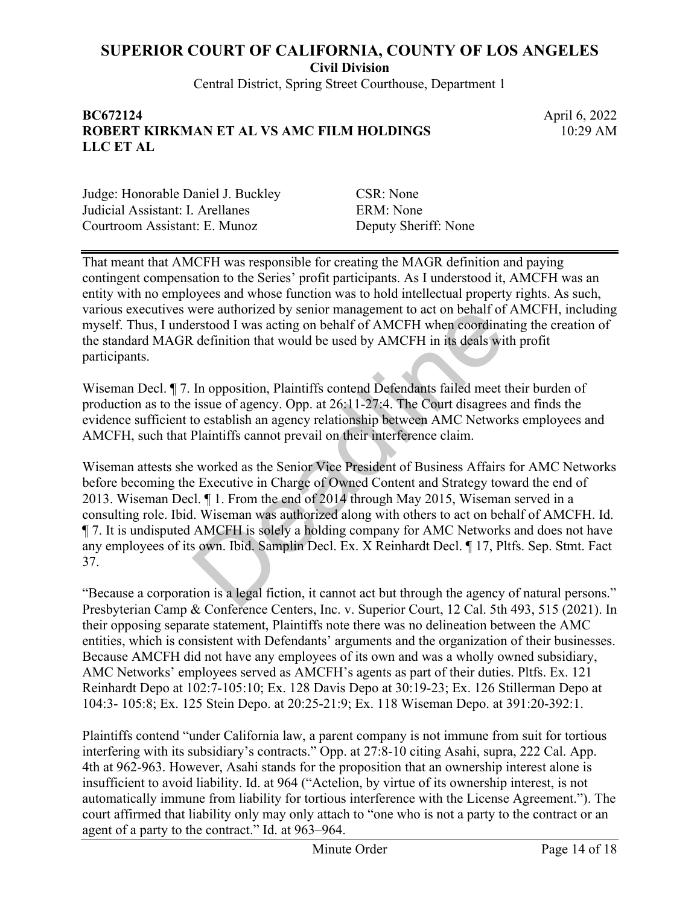**Civil Division**

Central District, Spring Street Courthouse, Department 1

#### **BC672124** April 6, 2022 **ROBERT KIRKMAN ET AL VS AMC FILM HOLDINGS LLC ET AL**

10:29 AM

Judge: Honorable Daniel J. Buckley CSR: None Judicial Assistant: I. Arellanes ERM: None Courtroom Assistant: E. Munoz Deputy Sheriff: None

That meant that AMCFH was responsible for creating the MAGR definition and paying contingent compensation to the Series' profit participants. As I understood it, AMCFH was an entity with no employees and whose function was to hold intellectual property rights. As such, various executives were authorized by senior management to act on behalf of AMCFH, including myself. Thus, I understood I was acting on behalf of AMCFH when coordinating the creation of the standard MAGR definition that would be used by AMCFH in its deals with profit participants.

Wiseman Decl. ¶ 7. In opposition, Plaintiffs contend Defendants failed meet their burden of production as to the issue of agency. Opp. at 26:11-27:4. The Court disagrees and finds the evidence sufficient to establish an agency relationship between AMC Networks employees and AMCFH, such that Plaintiffs cannot prevail on their interference claim.

Wiseman attests she worked as the Senior Vice President of Business Affairs for AMC Networks before becoming the Executive in Charge of Owned Content and Strategy toward the end of 2013. Wiseman Decl. ¶ 1. From the end of 2014 through May 2015, Wiseman served in a consulting role. Ibid. Wiseman was authorized along with others to act on behalf of AMCFH. Id. ¶ 7. It is undisputed AMCFH is solely a holding company for AMC Networks and does not have any employees of its own. Ibid. Samplin Decl. Ex. X Reinhardt Decl. ¶ 17, Pltfs. Sep. Stmt. Fact 37. were authorized by senior management to act on behalf of<br>erstood I was acting on behalf of AMCFH when coordinat<br>definition that would be used by AMCFH in its deals wit<br>In opposition, Plaintiffs contend Defendants failed me

"Because a corporation is a legal fiction, it cannot act but through the agency of natural persons." Presbyterian Camp & Conference Centers, Inc. v. Superior Court, 12 Cal. 5th 493, 515 (2021). In their opposing separate statement, Plaintiffs note there was no delineation between the AMC entities, which is consistent with Defendants' arguments and the organization of their businesses. Because AMCFH did not have any employees of its own and was a wholly owned subsidiary, AMC Networks' employees served as AMCFH's agents as part of their duties. Pltfs. Ex. 121 Reinhardt Depo at 102:7-105:10; Ex. 128 Davis Depo at 30:19-23; Ex. 126 Stillerman Depo at 104:3- 105:8; Ex. 125 Stein Depo. at 20:25-21:9; Ex. 118 Wiseman Depo. at 391:20-392:1.

Plaintiffs contend "under California law, a parent company is not immune from suit for tortious interfering with its subsidiary's contracts." Opp. at 27:8-10 citing Asahi, supra, 222 Cal. App. 4th at 962-963. However, Asahi stands for the proposition that an ownership interest alone is insufficient to avoid liability. Id. at 964 ("Actelion, by virtue of its ownership interest, is not automatically immune from liability for tortious interference with the License Agreement."). The court affirmed that liability only may only attach to "one who is not a party to the contract or an agent of a party to the contract." Id. at 963–964.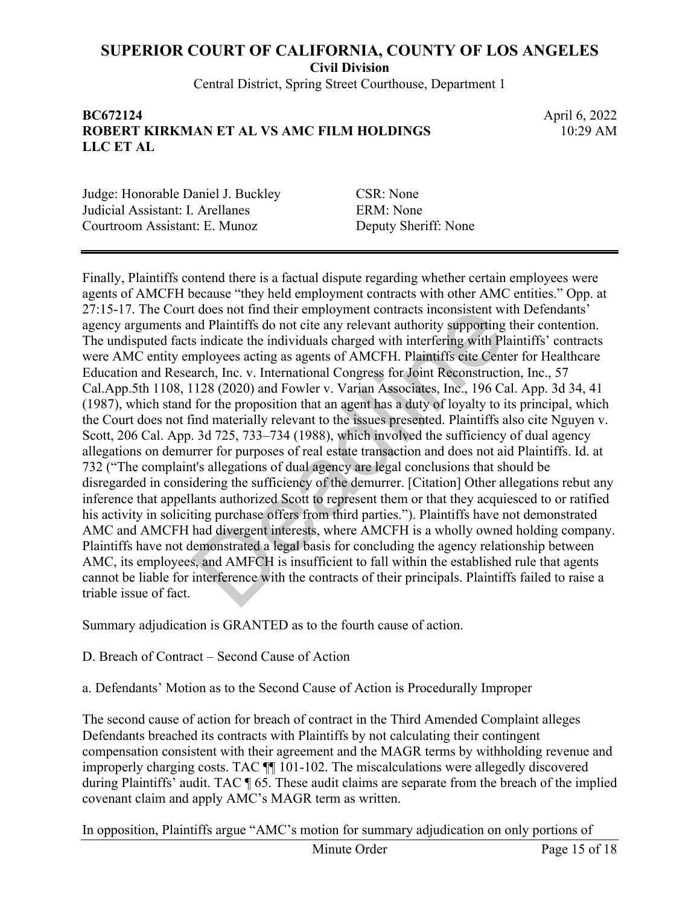**Civil Division**

Central District, Spring Street Courthouse, Department 1

#### **BC672124** April 6, 2022 **ROBERT KIRKMAN ET AL VS AMC FILM HOLDINGS LLC ET AL**

10:29 AM

Judge: Honorable Daniel J. Buckley CSR: None Judicial Assistant: I. Arellanes ERM: None Courtroom Assistant: E. Munoz Deputy Sheriff: None

Finally, Plaintiffs contend there is a factual dispute regarding whether certain employees were agents of AMCFH because "they held employment contracts with other AMC entities." Opp. at 27:15-17. The Court does not find their employment contracts inconsistent with Defendants' agency arguments and Plaintiffs do not cite any relevant authority supporting their contention. The undisputed facts indicate the individuals charged with interfering with Plaintiffs' contracts were AMC entity employees acting as agents of AMCFH. Plaintiffs cite Center for Healthcare Education and Research, Inc. v. International Congress for Joint Reconstruction, Inc., 57 Cal.App.5th 1108, 1128 (2020) and Fowler v. Varian Associates, Inc., 196 Cal. App. 3d 34, 41 (1987), which stand for the proposition that an agent has a duty of loyalty to its principal, which the Court does not find materially relevant to the issues presented. Plaintiffs also cite Nguyen v. Scott, 206 Cal. App. 3d 725, 733–734 (1988), which involved the sufficiency of dual agency allegations on demurrer for purposes of real estate transaction and does not aid Plaintiffs. Id. at 732 ("The complaint's allegations of dual agency are legal conclusions that should be disregarded in considering the sufficiency of the demurrer. [Citation] Other allegations rebut any inference that appellants authorized Scott to represent them or that they acquiesced to or ratified his activity in soliciting purchase offers from third parties."). Plaintiffs have not demonstrated AMC and AMCFH had divergent interests, where AMCFH is a wholly owned holding company. Plaintiffs have not demonstrated a legal basis for concluding the agency relationship between AMC, its employees, and AMFCH is insufficient to fall within the established rule that agents cannot be liable for interference with the contracts of their principals. Plaintiffs failed to raise a triable issue of fact. does not find their employment contracts inconsistent with Plaintiffs do not cite any relevant authority supporting is indicate the individuals charged with interfering with Plaployees acting as agents of AMCFH. Plaintiffs

Summary adjudication is GRANTED as to the fourth cause of action.

D. Breach of Contract – Second Cause of Action

a. Defendants' Motion as to the Second Cause of Action is Procedurally Improper

The second cause of action for breach of contract in the Third Amended Complaint alleges Defendants breached its contracts with Plaintiffs by not calculating their contingent compensation consistent with their agreement and the MAGR terms by withholding revenue and improperly charging costs. TAC ¶¶ 101-102. The miscalculations were allegedly discovered during Plaintiffs' audit. TAC ¶ 65. These audit claims are separate from the breach of the implied covenant claim and apply AMC's MAGR term as written.

In opposition, Plaintiffs argue "AMC's motion for summary adjudication on only portions of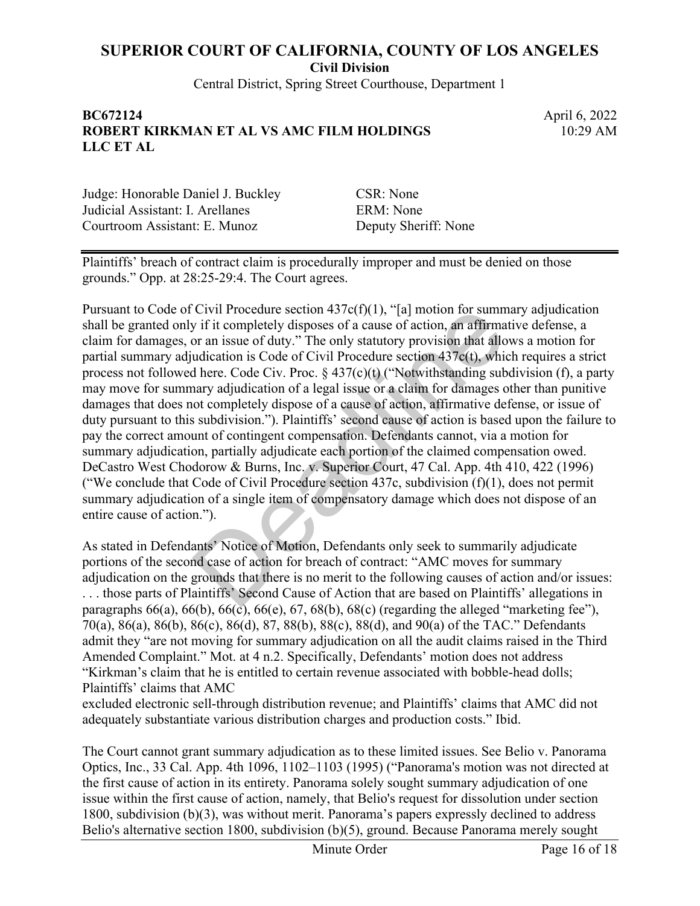**Civil Division**

Central District, Spring Street Courthouse, Department 1

#### **BC672124** April 6, 2022 **ROBERT KIRKMAN ET AL VS AMC FILM HOLDINGS LLC ET AL**

10:29 AM

Judge: Honorable Daniel J. Buckley CSR: None Judicial Assistant: I. Arellanes ERM: None Courtroom Assistant: E. Munoz Deputy Sheriff: None

Plaintiffs' breach of contract claim is procedurally improper and must be denied on those grounds." Opp. at 28:25-29:4. The Court agrees.

Pursuant to Code of Civil Procedure section  $437c(f)(1)$ , "[a] motion for summary adjudication shall be granted only if it completely disposes of a cause of action, an affirmative defense, a claim for damages, or an issue of duty." The only statutory provision that allows a motion for partial summary adjudication is Code of Civil Procedure section 437c(t), which requires a strict process not followed here. Code Civ. Proc.  $\S 437(c)(t)$  ("Notwithstanding subdivision (f), a party may move for summary adjudication of a legal issue or a claim for damages other than punitive damages that does not completely dispose of a cause of action, affirmative defense, or issue of duty pursuant to this subdivision."). Plaintiffs' second cause of action is based upon the failure to pay the correct amount of contingent compensation. Defendants cannot, via a motion for summary adjudication, partially adjudicate each portion of the claimed compensation owed. DeCastro West Chodorow & Burns, Inc. v. Superior Court, 47 Cal. App. 4th 410, 422 (1996) ("We conclude that Code of Civil Procedure section  $437c$ , subdivision  $(f)(1)$ , does not permit summary adjudication of a single item of compensatory damage which does not dispose of an entire cause of action."). Civil Procedure section 43/c(t)(1), "[a] motion for summ<br>y if it completely disposes of a cause of action, an affirma<br>or an issue of duty." The only statutory provision that allo<br>udication is Code of Civil Procedure secti

As stated in Defendants' Notice of Motion, Defendants only seek to summarily adjudicate portions of the second case of action for breach of contract: "AMC moves for summary adjudication on the grounds that there is no merit to the following causes of action and/or issues: . . . those parts of Plaintiffs' Second Cause of Action that are based on Plaintiffs' allegations in paragraphs  $66(a)$ ,  $66(b)$ ,  $66(c)$ ,  $66(e)$ ,  $67$ ,  $68(b)$ ,  $68(c)$  (regarding the alleged "marketing fee"), 70(a), 86(a), 86(b), 86(c), 86(d), 87, 88(b), 88(c), 88(d), and 90(a) of the TAC." Defendants admit they "are not moving for summary adjudication on all the audit claims raised in the Third Amended Complaint." Mot. at 4 n.2. Specifically, Defendants' motion does not address "Kirkman's claim that he is entitled to certain revenue associated with bobble-head dolls; Plaintiffs' claims that AMC

excluded electronic sell-through distribution revenue; and Plaintiffs' claims that AMC did not adequately substantiate various distribution charges and production costs." Ibid.

The Court cannot grant summary adjudication as to these limited issues. See Belio v. Panorama Optics, Inc., 33 Cal. App. 4th 1096, 1102–1103 (1995) ("Panorama's motion was not directed at the first cause of action in its entirety. Panorama solely sought summary adjudication of one issue within the first cause of action, namely, that Belio's request for dissolution under section 1800, subdivision (b)(3), was without merit. Panorama's papers expressly declined to address Belio's alternative section 1800, subdivision (b)(5), ground. Because Panorama merely sought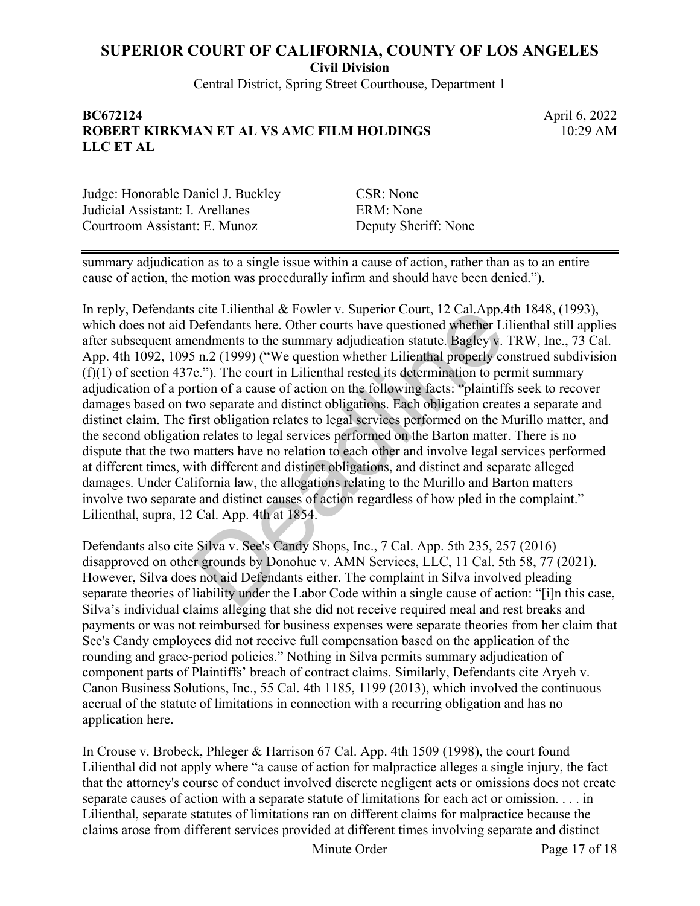**Civil Division**

Central District, Spring Street Courthouse, Department 1

#### **BC672124** April 6, 2022 **ROBERT KIRKMAN ET AL VS AMC FILM HOLDINGS LLC ET AL**

10:29 AM

Judge: Honorable Daniel J. Buckley CSR: None Judicial Assistant: I. Arellanes ERM: None Courtroom Assistant: E. Munoz Deputy Sheriff: None

summary adjudication as to a single issue within a cause of action, rather than as to an entire cause of action, the motion was procedurally infirm and should have been denied.").

In reply, Defendants cite Lilienthal & Fowler v. Superior Court, 12 Cal.App.4th 1848, (1993), which does not aid Defendants here. Other courts have questioned whether Lilienthal still applies after subsequent amendments to the summary adjudication statute. Bagley v. TRW, Inc., 73 Cal. App. 4th 1092, 1095 n.2 (1999) ("We question whether Lilienthal properly construed subdivision (f)(1) of section 437c."). The court in Lilienthal rested its determination to permit summary adjudication of a portion of a cause of action on the following facts: "plaintiffs seek to recover damages based on two separate and distinct obligations. Each obligation creates a separate and distinct claim. The first obligation relates to legal services performed on the Murillo matter, and the second obligation relates to legal services performed on the Barton matter. There is no dispute that the two matters have no relation to each other and involve legal services performed at different times, with different and distinct obligations, and distinct and separate alleged damages. Under California law, the allegations relating to the Murillo and Barton matters involve two separate and distinct causes of action regardless of how pled in the complaint." Lilienthal, supra, 12 Cal. App. 4th at 1854. s cite Lilienthal & Fowler v. Superior Court, 12 Cal.App.<br>20 Defendants here. Other courts have questioned whether Li<br>endments to the summary adjudication statute. Bagley v.<br>5 n.2 (1999) ("We question whether Lilienthal pr

Defendants also cite Silva v. See's Candy Shops, Inc., 7 Cal. App. 5th 235, 257 (2016) disapproved on other grounds by Donohue v. AMN Services, LLC, 11 Cal. 5th 58, 77 (2021). However, Silva does not aid Defendants either. The complaint in Silva involved pleading separate theories of liability under the Labor Code within a single cause of action: "[i]n this case, Silva's individual claims alleging that she did not receive required meal and rest breaks and payments or was not reimbursed for business expenses were separate theories from her claim that See's Candy employees did not receive full compensation based on the application of the rounding and grace-period policies." Nothing in Silva permits summary adjudication of component parts of Plaintiffs' breach of contract claims. Similarly, Defendants cite Aryeh v. Canon Business Solutions, Inc., 55 Cal. 4th 1185, 1199 (2013), which involved the continuous accrual of the statute of limitations in connection with a recurring obligation and has no application here.

In Crouse v. Brobeck, Phleger & Harrison 67 Cal. App. 4th 1509 (1998), the court found Lilienthal did not apply where "a cause of action for malpractice alleges a single injury, the fact that the attorney's course of conduct involved discrete negligent acts or omissions does not create separate causes of action with a separate statute of limitations for each act or omission. . . . in Lilienthal, separate statutes of limitations ran on different claims for malpractice because the claims arose from different services provided at different times involving separate and distinct